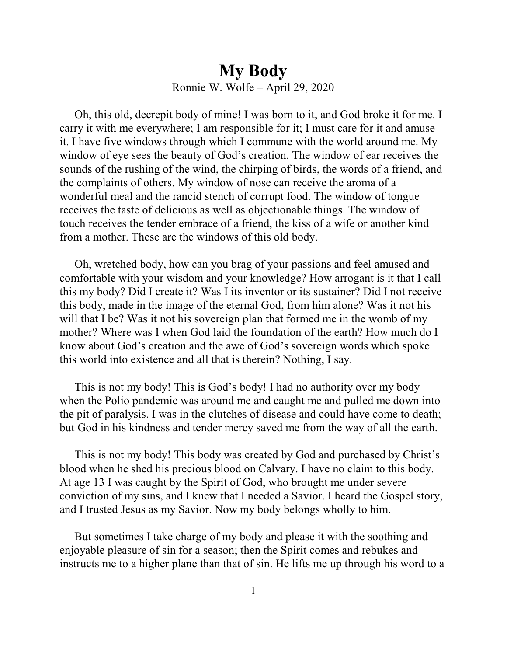## **My Body** Ronnie W. Wolfe – April 29, 2020

Oh, this old, decrepit body of mine! I was born to it, and God broke it for me. I carry it with me everywhere; I am responsible for it; I must care for it and amuse it. I have five windows through which I commune with the world around me. My window of eye sees the beauty of God's creation. The window of ear receives the sounds of the rushing of the wind, the chirping of birds, the words of a friend, and the complaints of others. My window of nose can receive the aroma of a wonderful meal and the rancid stench of corrupt food. The window of tongue receives the taste of delicious as well as objectionable things. The window of touch receives the tender embrace of a friend, the kiss of a wife or another kind from a mother. These are the windows of this old body.

Oh, wretched body, how can you brag of your passions and feel amused and comfortable with your wisdom and your knowledge? How arrogant is it that I call this my body? Did I create it? Was I its inventor or its sustainer? Did I not receive this body, made in the image of the eternal God, from him alone? Was it not his will that I be? Was it not his sovereign plan that formed me in the womb of my mother? Where was I when God laid the foundation of the earth? How much do I know about God's creation and the awe of God's sovereign words which spoke this world into existence and all that is therein? Nothing, I say.

This is not my body! This is God's body! I had no authority over my body when the Polio pandemic was around me and caught me and pulled me down into the pit of paralysis. I was in the clutches of disease and could have come to death; but God in his kindness and tender mercy saved me from the way of all the earth.

This is not my body! This body was created by God and purchased by Christ's blood when he shed his precious blood on Calvary. I have no claim to this body. At age 13 I was caught by the Spirit of God, who brought me under severe conviction of my sins, and I knew that I needed a Savior. I heard the Gospel story, and I trusted Jesus as my Savior. Now my body belongs wholly to him.

But sometimes I take charge of my body and please it with the soothing and enjoyable pleasure of sin for a season; then the Spirit comes and rebukes and instructs me to a higher plane than that of sin. He lifts me up through his word to a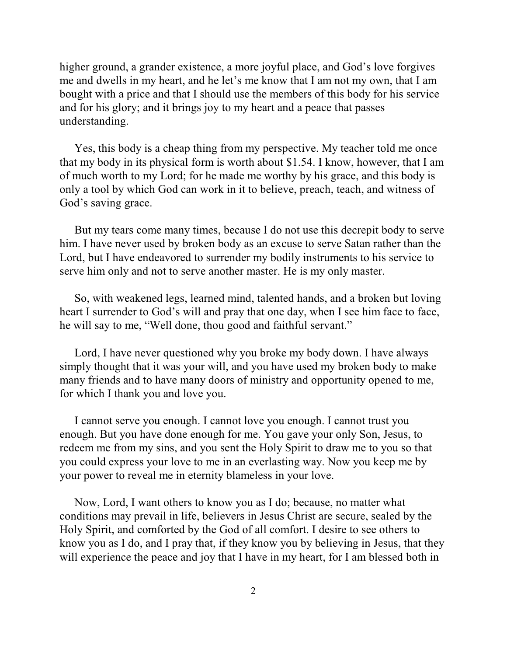higher ground, a grander existence, a more joyful place, and God's love forgives me and dwells in my heart, and he let's me know that I am not my own, that I am bought with a price and that I should use the members of this body for his service and for his glory; and it brings joy to my heart and a peace that passes understanding.

Yes, this body is a cheap thing from my perspective. My teacher told me once that my body in its physical form is worth about \$1.54. I know, however, that I am of much worth to my Lord; for he made me worthy by his grace, and this body is only a tool by which God can work in it to believe, preach, teach, and witness of God's saving grace.

But my tears come many times, because I do not use this decrepit body to serve him. I have never used by broken body as an excuse to serve Satan rather than the Lord, but I have endeavored to surrender my bodily instruments to his service to serve him only and not to serve another master. He is my only master.

So, with weakened legs, learned mind, talented hands, and a broken but loving heart I surrender to God's will and pray that one day, when I see him face to face, he will say to me, "Well done, thou good and faithful servant."

Lord, I have never questioned why you broke my body down. I have always simply thought that it was your will, and you have used my broken body to make many friends and to have many doors of ministry and opportunity opened to me, for which I thank you and love you.

I cannot serve you enough. I cannot love you enough. I cannot trust you enough. But you have done enough for me. You gave your only Son, Jesus, to redeem me from my sins, and you sent the Holy Spirit to draw me to you so that you could express your love to me in an everlasting way. Now you keep me by your power to reveal me in eternity blameless in your love.

Now, Lord, I want others to know you as I do; because, no matter what conditions may prevail in life, believers in Jesus Christ are secure, sealed by the Holy Spirit, and comforted by the God of all comfort. I desire to see others to know you as I do, and I pray that, if they know you by believing in Jesus, that they will experience the peace and joy that I have in my heart, for I am blessed both in